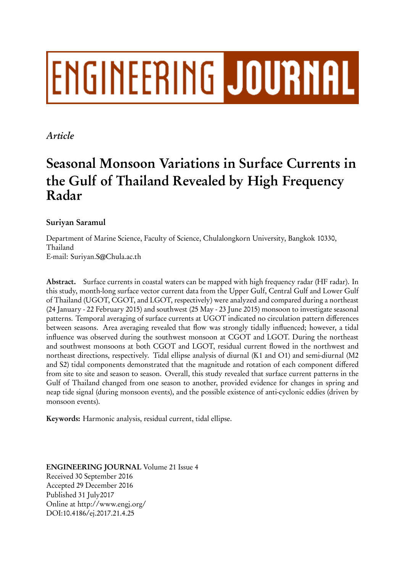# **ENGINEERING JOURNAL**

## *Article*

# **Seasonal Monsoon Variations in Surface Currents in the Gulf of Thailand Revealed by High Frequency Radar**

### **Suriyan Saramul**

Department of Marine Science, Faculty of Science, Chulalongkorn University, Bangkok 10330, Thailand E-mail: Suriyan.S@Chula.ac.th

**Abstract.** Surface currents in coastal waters can be mapped with high frequency radar (HF radar). In this study, month-long surface vector current data from the Upper Gulf, Central Gulf and Lower Gulf of Thailand (UGOT, CGOT, and LGOT, respectively) were analyzed and compared during a northeast (24 January - 22 February 2015) and southwest (25 May - 23 June 2015) monsoon to investigate seasonal patterns. Temporal averaging of surface currents at UGOT indicated no circulation pattern differences between seasons. Area averaging revealed that flow was strongly tidally influenced; however, a tidal influence was observed during the southwest monsoon at CGOT and LGOT. During the northeast and southwest monsoons at both CGOT and LGOT, residual current flowed in the northwest and northeast directions, respectively. Tidal ellipse analysis of diurnal (K1 and O1) and semi-diurnal (M2 and S2) tidal components demonstrated that the magnitude and rotation of each component differed from site to site and season to season. Overall, this study revealed that surface current patterns in the Gulf of Thailand changed from one season to another, provided evidence for changes in spring and neap tide signal (during monsoon events), and the possible existence of anti-cyclonic eddies (driven by monsoon events).

**Keywords:** Harmonic analysis, residual current, tidal ellipse.

**ENGINEERING JOURNAL** Volume 21 Issue 4 Received 30 September 2016 Accepted 29 December 2016 Published 31 July2017 Online at http://www.engj.org/ DOI:10.4186/ej.2017.21.4.25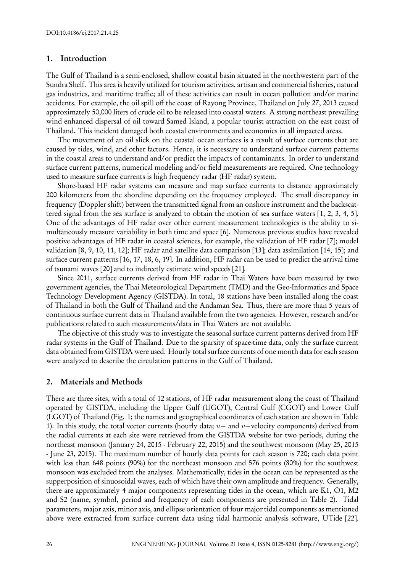#### **1. Introduction**

The Gulf of Thailand is a semi-enclosed, shallow coastal basin situated in the northwestern part of the Sundra Shelf. This area is heavily utilized for tourism activities, artisan and commercial fisheries, natural gas industries, and maritime traffic; all of these activities can result in ocean pollution and/or marine accidents. For example, the oil spill off the coast of Rayong Province, Thailand on July 27, 2013 caused approximately 50,000 liters of crude oil to be released into coastal waters. A strong northeast prevailing wind enhanced dispersal of oil toward Samed Island, a popular tourist attraction on the east coast of Thailand. This incident damaged both coastal environments and economies in all impacted areas.

The movement of an oil slick on the coastal ocean surfaces is a result of surface currents that are caused by tides, wind, and other factors. Hence, it is necessary to understand surface current patterns in the coastal areas to understand and/or predict the impacts of contaminants. In order to understand surface current patterns, numerical modeling and/or field measurements are required. One technology used to measure surface currents is high frequency radar (HF radar) system.

Shore-based HF radar systems can measure and map surface currents to distance approximately 200 kilometers from the shoreline depending on the frequency employed. The small discrepancy in frequency (Doppler shift) between the transmitted signal from an onshore instrument and the backscattered signal from the sea surface is analyzed to obtain the motion of sea surface waters [1, 2, 3, 4, 5]. One of the advantages of HF radar over other current measurement technologies is the ability to simultaneously measure variability in both time and space [6]. Numerous previous studies have revealed positive advantages of HF radar in coastal sciences, for example, the validation of HF radar [7]; model validation [8, 9, 10, 11, 12]; HF radar and satellite data comparison [13]; data assimilation [14, 15]; and surface current patterns [16, 17, 18, 6, 19]. In addition, HF radar can be used to predict the arrival time of tsunami waves [20] and to indirectly estimate wind speeds [21].

Since 2011, surface currents derived from HF radar in Thai Waters have been measured by two government agencies, the Thai Meteorological Department (TMD) and the Geo-Informatics and Space Technology Development Agency (GISTDA). In total, 18 stations have been installed along the coast of Thailand in both the Gulf of Thailand and the Andaman Sea. Thus, there are more than 5 years of continuous surface current data in Thailand available from the two agencies. However, research and/or publications related to such measurements/data in Thai Waters are not available.

The objective of this study was to investigate the seasonal surface current patterns derived from HF radar systems in the Gulf of Thailand. Due to the sparsity of space-time data, only the surface current data obtained from GISTDA were used. Hourly total surface currents of one month data for each season were analyzed to describe the circulation patterns in the Gulf of Thailand.

#### **2. Materials and Methods**

There are three sites, with a total of 12 stations, of HF radar measurement along the coast of Thailand operated by GISTDA, including the Upper Gulf (UGOT), Central Gulf (CGOT) and Lower Gulf (LGOT) of Thailand (Fig. 1; the names and geographical coordinates of each station are shown in Table 1). In this study, the total vector currents (hourly data; *u−* and *v−*velocity components) derived from the radial currents at each site were retrieved from the GISTDA website for two periods, during the northeast monsoon (January 24, 2015 - February 22, 2015) and the southwest monsoon (May 25, 2015 - June 23, 2015). The maximum number of hourly data points for each season is 720; each data point with less than 648 points (90%) for the northeast monsoon and 576 points (80%) for the southwest monsoon was excluded from the analyses. Mathematically, tides in the ocean can be represented as the supperposition of sinuosoidal waves, each of which have their own amplitude and frequency. Generally, there are approximately 4 major components representing tides in the ocean, which are K1, O1, M2 and S2 (name, symbol, period and frequency of each components are presented in Table 2). Tidal parameters, major axis, minor axis, and ellipse orientation of four major tidal components as mentioned above were extracted from surface current data using tidal harmonic analysis software, UTide [22].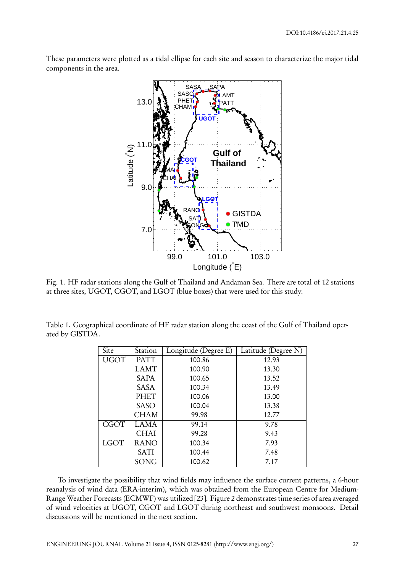These parameters were plotted as a tidal ellipse for each site and season to characterize the major tidal components in the area.



Fig. 1. HF radar stations along the Gulf of Thailand and Andaman Sea. There are total of 12 stations at three sites, UGOT, CGOT, and LGOT (blue boxes) that were used for this study.

Table 1. Geographical coordinate of HF radar station along the coast of the Gulf of Thailand operated by GISTDA.

| Site        | Station     | Longitude (Degree E) | Latitude (Degree N) |
|-------------|-------------|----------------------|---------------------|
| <b>UGOT</b> | <b>PATT</b> | 100.86               | 12.93               |
|             | <b>LAMT</b> | 100.90               | 13.30               |
|             | <b>SAPA</b> | 100.65               | 13.52               |
|             | <b>SASA</b> | 100.34               | 13.49               |
|             | <b>PHET</b> | 100.06               | 13.00               |
|             | <b>SASO</b> | 100.04               | 13.38               |
|             | CHAM        | 99.98                | 12.77               |
| <b>CGOT</b> | LAMA        | 99.14                | 9.78                |
|             | <b>CHAI</b> | 99.28                | 9.43                |
| <b>LGOT</b> | <b>RANO</b> | 100.34               | 7.93                |
|             | <b>SATI</b> | 100.44               | 7.48                |
|             | SONG        | 100.62               | 7.17                |

To investigate the possibility that wind fields may influence the surface current patterns, a 6-hour reanalysis of wind data (ERA-interim), which was obtained from the European Centre for Medium-Range Weather Forecasts (ECMWF) was utilized [23]. Figure 2 demonstrates time series of area averaged of wind velocities at UGOT, CGOT and LGOT during northeast and southwest monsoons. Detail discussions will be mentioned in the next section.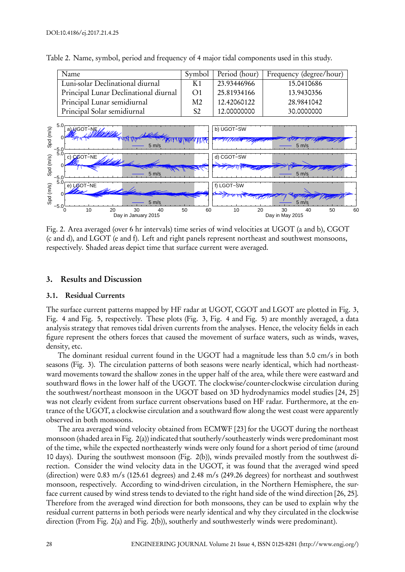| Name                                  |                | Symbol   Period (hour) | Frequency (degree/hour) |
|---------------------------------------|----------------|------------------------|-------------------------|
| Luni-solar Declinational diurnal      | K <sub>1</sub> | 23.93446966            | 15.0410686              |
| Principal Lunar Declinational diurnal | $\Omega$ 1     | 25.81934166            | 13.9430356              |
| Principal Lunar semidiurnal           | M2             | 12.42060122            | 28.9841042              |
| Principal Solar semidiurnal           | S <sub>2</sub> | 12,00000000            | 30.0000000              |

Table 2. Name, symbol, period and frequency of 4 major tidal components used in this study.



Fig. 2. Area averaged (over 6 hr intervals) time series of wind velocities at UGOT (a and b), CGOT (c and d), and LGOT (e and f). Left and right panels represent northeast and southwest monsoons, respectively. Shaded areas depict time that surface current were averaged.

#### **3. Results and Discussion**

#### **3.1. Residual Currents**

The surface current patterns mapped by HF radar at UGOT, CGOT and LGOT are plotted in Fig. 3, Fig. 4 and Fig. 5, respectively. These plots (Fig. 3, Fig. 4 and Fig. 5) are monthly averaged, a data analysis strategy that removes tidal driven currents from the analyses. Hence, the velocity fields in each figure represent the others forces that caused the movement of surface waters, such as winds, waves, density, etc.

The dominant residual current found in the UGOT had a magnitude less than 5.0 cm/s in both seasons (Fig. 3). The circulation patterns of both seasons were nearly identical, which had northeastward movements toward the shallow zones in the upper half of the area, while there were eastward and southward flows in the lower half of the UGOT. The clockwise/counter-clockwise circulation during the southwest/northeast monsoon in the UGOT based on 3D hydrodynamics model studies [24, 25] was not clearly evident from surface current observations based on HF radar. Furthermore, at the entrance of the UGOT, a clockwise circulation and a southward flow along the west coast were apparently observed in both monsoons.

The area averaged wind velocity obtained from ECMWF [23] for the UGOT during the northeast monsoon (shaded area in Fig. 2(a)) indicated that southerly/southeasterly winds were predominant most of the time, while the expected northeasterly winds were only found for a short period of time (around 10 days). During the southwest monsoon (Fig. 2(b)), winds prevailed mostly from the southwest direction. Consider the wind velocity data in the UGOT, it was found that the averaged wind speed (direction) were 0.83 m/s (125.61 degrees) and 2.48 m/s (249.26 degrees) for northeast and southwest monsoon, respectively. According to wind-driven circulation, in the Northern Hemisphere, the surface current caused by wind stress tends to deviated to the right hand side of the wind direction [26, 25]. Therefore from the averaged wind direction for both monsoons, they can be used to explain why the residual current patterns in both periods were nearly identical and why they circulated in the clockwise direction (From Fig. 2(a) and Fig. 2(b)), southerly and southwesterly winds were predominant).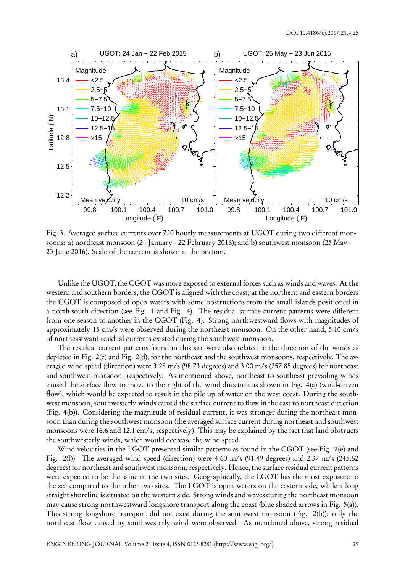

Fig. 3. Averaged surface currents over 720 hourly measurements at UGOT during two different monsoons: a) northeast monsoon (24 January - 22 February 2016); and b) southwest monsoon (25 May - 23 June 2016). Scale of the current is shown at the bottom.

Unlike the UGOT, the CGOT was more exposed to external forces such as winds and waves. At the western and southern borders, the CGOT is aligned with the coast; at the northern and eastern borders the CGOT is composed of open waters with some obstructions from the small islands positioned in a north-south direction (see Fig. 1 and Fig. 4). The residual surface current patterns were different from one season to another in the CGOT (Fig. 4). Strong northwestward flows with magnitudes of approximately 15 cm/s were observed during the northeast monsoon. On the other hand, 5-10 cm/s of northeastward residual currents existed during the southwest monsoon.

The residual current patterns found in this site were also related to the direction of the winds as depicted in Fig. 2(c) and Fig. 2(d), for the northeast and the southwest monsoons, respectively. The averaged wind speed (direction) were 3.28 m/s (98.73 degrees) and 3.00 m/s (257.85 degrees) for northeast and southwest monsoon, respectively. As mentioned above, northeast to southeast prevailing winds caused the surface flow to move to the right of the wind direction as shown in Fig. 4(a) (wind-driven flow), which would be expected to result in the pile up of water on the west coast. During the southwest monsoon, southwesterly winds caused the surface current to flow in the east to northeast direction (Fig. 4(b)). Considering the magnitude of residual current, it was stronger during the northeast monsoon than during the southwest monsoon (the averaged surface current during northeast and southwest monsoons were 16.6 and 12.1 cm/s, respectively). This may be explained by the fact that land obstructs the southwesterly winds, which would decrease the wind speed.

Wind velocities in the LGOT presented similar patterns as found in the CGOT (see Fig. 2(e) and Fig. 2(f)). The averaged wind speed (direction) were 4.60 m/s (91.49 degrees) and 2.37 m/s (245.62 degrees) for northeast and southwest monsoon, respectively. Hence, the surface residual current patterns were expected to be the same in the two sites. Geographically, the LGOT has the most exposure to the sea compared to the other two sites. The LGOT is open waters on the eastern side, while a long straight shoreline is situated on the western side. Strong winds and waves during the northeast monsoon may cause strong northwestward longshore transport along the coast (blue shaded arrows in Fig. 5(a)). This strong longshore transport did not exist during the southwest monsoon (Fig. 2(b)); only the northeast flow caused by southwesterly wind were observed. As mentioned above, strong residual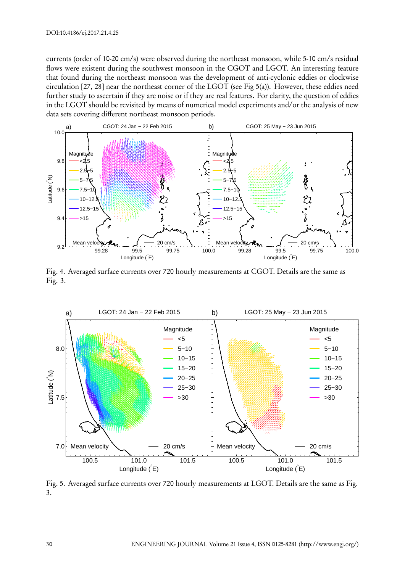currents (order of 10-20 cm/s) were observed during the northeast monsoon, while 5-10 cm/s residual flows were existent during the southwest monsoon in the CGOT and LGOT. An interesting feature that found during the northeast monsoon was the development of anti-cyclonic eddies or clockwise circulation [27, 28] near the northeast corner of the LGOT (see Fig 5(a)). However, these eddies need further study to ascertain if they are noise or if they are real features. For clarity, the question of eddies in the LGOT should be revisited by means of numerical model experiments and/or the analysis of new data sets covering different northeast monsoon periods.



Fig. 4. Averaged surface currents over 720 hourly measurements at CGOT. Details are the same as Fig. 3.



Fig. 5. Averaged surface currents over 720 hourly measurements at LGOT. Details are the same as Fig. 3.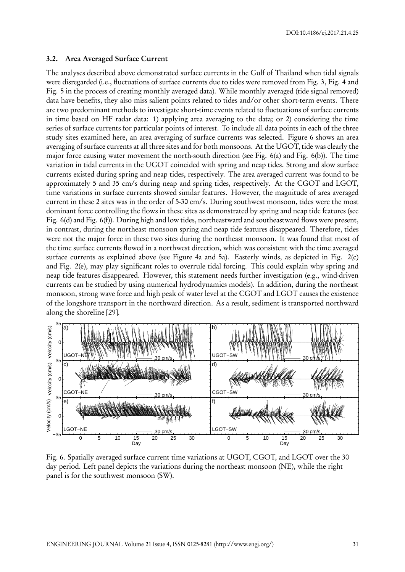#### **3.2. Area Averaged Surface Current**

The analyses described above demonstrated surface currents in the Gulf of Thailand when tidal signals were disregarded (i.e., fluctuations of surface currents due to tides were removed from Fig. 3, Fig. 4 and Fig. 5 in the process of creating monthly averaged data). While monthly averaged (tide signal removed) data have benefits, they also miss salient points related to tides and/or other short-term events. There are two predominant methods to investigate short-time events related to fluctuations of surface currents in time based on HF radar data: 1) applying area averaging to the data; or 2) considering the time series of surface currents for particular points of interest. To include all data points in each of the three study sites examined here, an area averaging of surface currents was selected. Figure 6 shows an area averaging of surface currents at all three sites and for both monsoons. At the UGOT, tide was clearly the major force causing water movement the north-south direction (see Fig. 6(a) and Fig. 6(b)). The time variation in tidal currents in the UGOT coincided with spring and neap tides. Strong and slow surface currents existed during spring and neap tides, respectively. The area averaged current was found to be approximately 5 and 35 cm/s during neap and spring tides, respectively. At the CGOT and LGOT, time variations in surface currents showed similar features. However, the magnitude of area averaged current in these 2 sites was in the order of 5-30 cm/s. During southwest monsoon, tides were the most dominant force controlling the flows in these sites as demonstrated by spring and neap tide features (see Fig. 6(d) and Fig. 6(f)). During high and low tides, northeastward and southeastward flows were present, in contrast, during the northeast monsoon spring and neap tide features disappeared. Therefore, tides were not the major force in these two sites during the northeast monsoon. It was found that most of the time surface currents flowed in a northwest direction, which was consistent with the time averaged surface currents as explained above (see Figure 4a and 5a). Easterly winds, as depicted in Fig. 2(c) and Fig. 2(e), may play significant roles to overrule tidal forcing. This could explain why spring and neap tide features disappeared. However, this statement needs further investigation (e.g., wind-driven currents can be studied by using numerical hydrodynamics models). In addition, during the northeast monsoon, strong wave force and high peak of water level at the CGOT and LGOT causes the existence of the longshore transport in the northward direction. As a result, sediment is transported northward along the shoreline [29].



Fig. 6. Spatially averaged surface current time variations at UGOT, CGOT, and LGOT over the 30 day period. Left panel depicts the variations during the northeast monsoon (NE), while the right panel is for the southwest monsoon (SW).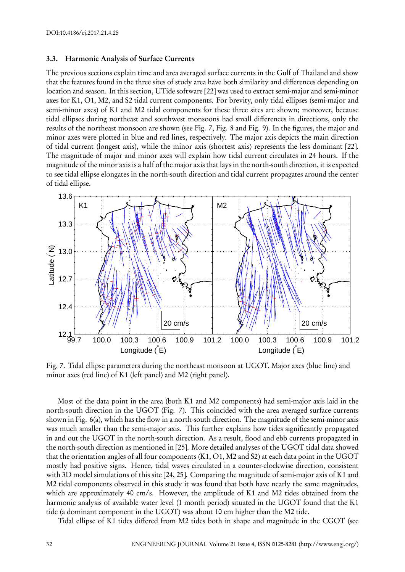#### **3.3. Harmonic Analysis of Surface Currents**

The previous sections explain time and area averaged surface currents in the Gulf of Thailand and show that the features found in the three sites of study area have both similarity and differences depending on location and season. In this section, UTide software [22] was used to extract semi-major and semi-minor axes for K1, O1, M2, and S2 tidal current components. For brevity, only tidal ellipses (semi-major and semi-minor axes) of K1 and M2 tidal components for these three sites are shown; moreover, because tidal ellipses during northeast and southwest monsoons had small differences in directions, only the results of the northeast monsoon are shown (see Fig. 7, Fig. 8 and Fig. 9). In the figures, the major and minor axes were plotted in blue and red lines, respectively. The major axis depicts the main direction of tidal current (longest axis), while the minor axis (shortest axis) represents the less dominant [22]. The magnitude of major and minor axes will explain how tidal current circulates in 24 hours. If the magnitude of the minor axis is a half of the major axis that lays in the north-south direction, it is expected to see tidal ellipse elongates in the north-south direction and tidal current propagates around the center of tidal ellipse.



Fig. 7. Tidal ellipse parameters during the northeast monsoon at UGOT. Major axes (blue line) and minor axes (red line) of K1 (left panel) and M2 (right panel).

Most of the data point in the area (both K1 and M2 components) had semi-major axis laid in the north-south direction in the UGOT (Fig. 7). This coincided with the area averaged surface currents shown in Fig. 6(a), which has the flow in a north-south direction. The magnitude of the semi-minor axis was much smaller than the semi-major axis. This further explains how tides significantly propagated in and out the UGOT in the north-south direction. As a result, flood and ebb currents propagated in the north-south direction as mentioned in [25]. More detailed analyses of the UGOT tidal data showed that the orientation angles of all four components (K1, O1, M2 and S2) at each data point in the UGOT mostly had positive signs. Hence, tidal waves circulated in a counter-clockwise direction, consistent with 3D model simulations of this site [24, 25]. Comparing the magnitude of semi-major axis of K1 and M2 tidal components observed in this study it was found that both have nearly the same magnitudes, which are approximately 40 cm/s. However, the amplitude of K1 and M2 tides obtained from the harmonic analysis of available water level (1 month period) situated in the UGOT found that the K1 tide (a dominant component in the UGOT) was about 10 cm higher than the M2 tide.

Tidal ellipse of K1 tides differed from M2 tides both in shape and magnitude in the CGOT (see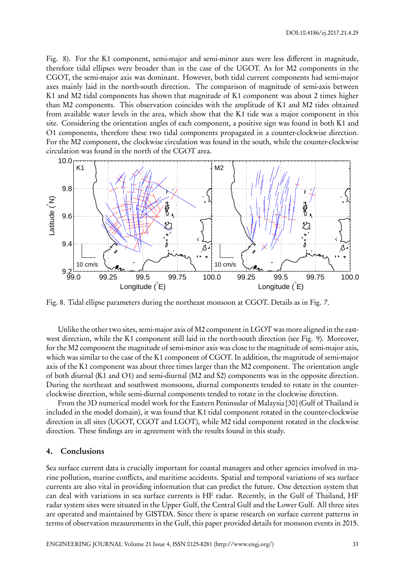Fig. 8). For the K1 component, semi-major and semi-minor axes were less different in magnitude, therefore tidal ellipses were broader than in the case of the UGOT. As for M2 components in the CGOT, the semi-major axis was dominant. However, both tidal current components had semi-major axes mainly laid in the north-south direction. The comparison of magnitude of semi-axis between K1 and M2 tidal components has shown that magnitude of K1 component was about 2 times higher than M2 components. This observation coincides with the amplitude of K1 and M2 tides obtained from available water levels in the area, which show that the K1 tide was a major component in this site. Considering the orientation angles of each component, a positive sign was found in both K1 and O1 components, therefore these two tidal components propagated in a counter-clockwise direction. For the M2 component, the clockwise circulation was found in the south, while the counter-clockwise circulation was found in the north of the CGOT area.



Fig. 8. Tidal ellipse parameters during the northeast monsoon at CGOT. Details as in Fig. 7.

Unlike the other two sites, semi-major axis of M2 component in LGOT was more aligned in the eastwest direction, while the K1 component still laid in the north-south direction (see Fig. 9). Moreover, for the M2 component the magnitude of semi-minor axis was close to the magnitude of semi-major axis, which was similar to the case of the K1 component of CGOT. In addition, the magnitude of semi-major axis of the K1 component was about three times larger than the M2 component. The orientation angle of both diurnal (K1 and O1) and semi-diurnal (M2 and S2) components was in the opposite direction. During the northeast and southwest monsoons, diurnal components tended to rotate in the counterclockwise direction, while semi-diurnal components tended to rotate in the clockwise direction.

From the 3D numerical model work for the Eastern Peninsular of Malaysia [30] (Gulf of Thailand is included in the model domain), it was found that K1 tidal component rotated in the counter-clockwise direction in all sites (UGOT, CGOT and LGOT), while M2 tidal component rotated in the clockwise direction. These findings are in agreement with the results found in this study.

#### **4. Conclusions**

Sea surface current data is crucially important for coastal managers and other agencies involved in marine pollution, marine conflicts, and maritime accidents. Spatial and temporal variations of sea surface currents are also vital in providing information that can predict the future. One detection system that can deal with variations in sea surface currents is HF radar. Recently, in the Gulf of Thailand, HF radar system sites were situated in the Upper Gulf, the Central Gulf and the Lower Gulf. All three sites are operated and maintained by GISTDA. Since there is sparse research on surface current patterns in terms of observation measurements in the Gulf, this paper provided details for monsoon events in 2015.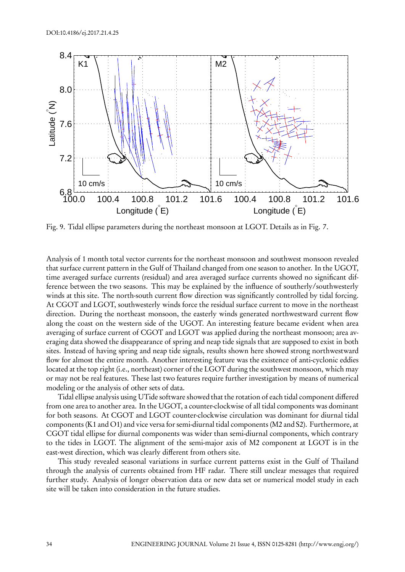

Fig. 9. Tidal ellipse parameters during the northeast monsoon at LGOT. Details as in Fig. 7.

Analysis of 1 month total vector currents for the northeast monsoon and southwest monsoon revealed that surface current pattern in the Gulf of Thailand changed from one season to another. In the UGOT, time averaged surface currents (residual) and area averaged surface currents showed no significant difference between the two seasons. This may be explained by the influence of southerly/southwesterly winds at this site. The north-south current flow direction was significantly controlled by tidal forcing. At CGOT and LGOT, southwesterly winds force the residual surface current to move in the northeast direction. During the northeast monsoon, the easterly winds generated northwestward current flow along the coast on the western side of the UGOT. An interesting feature became evident when area averaging of surface current of CGOT and LGOT was applied during the northeast monsoon; area averaging data showed the disappearance of spring and neap tide signals that are supposed to exist in both sites. Instead of having spring and neap tide signals, results shown here showed strong northwestward flow for almost the entire month. Another interesting feature was the existence of anti-cyclonic eddies located at the top right (i.e., northeast) corner of the LGOT during the southwest monsoon, which may or may not be real features. These last two features require further investigation by means of numerical modeling or the analysis of other sets of data.

Tidal ellipse analysis using UTide software showed that the rotation of each tidal component differed from one area to another area. In the UGOT, a counter-clockwise of all tidal components was dominant for both seasons. At CGOT and LGOT counter-clockwise circulation was dominant for diurnal tidal components (K1 and O1) and vice versa for semi-diurnal tidal components (M2 and S2). Furthermore, at CGOT tidal ellipse for diurnal components was wider than semi-diurnal components, which contrary to the tides in LGOT. The alignment of the semi-major axis of M2 component at LGOT is in the east-west direction, which was clearly different from others site.

This study revealed seasonal variations in surface current patterns exist in the Gulf of Thailand through the analysis of currents obtained from HF radar. There still unclear messages that required further study. Analysis of longer observation data or new data set or numerical model study in each site will be taken into consideration in the future studies.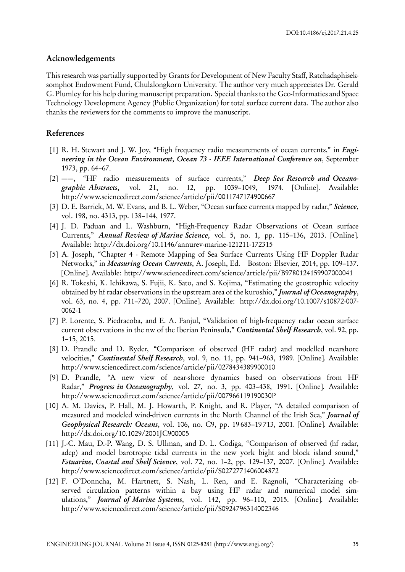#### **Acknowledgements**

This research was partially supported by Grants for Development of New Faculty Staff, Ratchadaphiseksomphot Endowment Fund, Chulalongkorn University. The author very much appreciates Dr. Gerald G. Plumley for his help during manuscript preparation. Special thanks to the Geo-Informatics and Space Technology Development Agency (Public Organization) for total surface current data. The author also thanks the reviewers for the comments to improve the manuscript.

#### **References**

- [1] R. H. Stewart and J. W. Joy, "High frequency radio measurements of ocean currents," in *Engineering in the Ocean Environment, Ocean 73 - IEEE International Conference on*, September 1973, pp. 64–67.
- [2] ——, "HF radio measurements of surface currents," *Deep Sea Research and Oceanographic Abstracts*, vol. 21, no. 12, pp. 1039–1049, 1974. [Online]. Available: http://www.sciencedirect.com/science/article/pii/0011747174900667
- [3] D. E. Barrick, M. W. Evans, and B. L. Weber, "Ocean surface currents mapped by radar," *Science*, vol. 198, no. 4313, pp. 138–144, 1977.
- [4] J. D. Paduan and L. Washburn, "High-Frequency Radar Observations of Ocean surface Currents," *Annual Review of Marine Science*, vol. 5, no. 1, pp. 115–136, 2013. [Online]. Available: http://dx.doi.org/10.1146/annurev-marine-121211-172315
- [5] A. Joseph, "Chapter 4 Remote Mapping of Sea Surface Currents Using HF Doppler Radar Networks," in *Measuring Ocean Currents*, A. Joseph, Ed. Boston: Elsevier, 2014, pp. 109–137. [Online]. Available: http://www.sciencedirect.com/science/article/pii/B9780124159907000041
- [6] R. Tokeshi, K. Ichikawa, S. Fujii, K. Sato, and S. Kojima, "Estimating the geostrophic velocity obtained by hf radar observations in the upstream area of the kuroshio," *Journal of Oceanography*, vol. 63, no. 4, pp. 711–720, 2007. [Online]. Available: http://dx.doi.org/10.1007/s10872-007- 0062-1
- [7] P. Lorente, S. Piedracoba, and E. A. Fanjul, "Validation of high-frequency radar ocean surface current observations in the nw of the Iberian Peninsula," *Continental Shelf Research*, vol. 92, pp. 1–15, 2015.
- [8] D. Prandle and D. Ryder, "Comparison of observed (HF radar) and modelled nearshore velocities," *Continental Shelf Research*, vol. 9, no. 11, pp. 941–963, 1989. [Online]. Available: http://www.sciencedirect.com/science/article/pii/0278434389900010
- [9] D. Prandle, "A new view of near-shore dynamics based on observations from HF Radar," *Progress in Oceanography*, vol. 27, no. 3, pp. 403–438, 1991. [Online]. Available: http://www.sciencedirect.com/science/article/pii/007966119190030P
- [10] A. M. Davies, P. Hall, M. J. Howarth, P. Knight, and R. Player, "A detailed comparison of measured and modeled wind-driven currents in the North Channel of the Irish Sea," *Journal of Geophysical Research: Oceans*, vol. 106, no. C9, pp. 19 683–19 713, 2001. [Online]. Available: http://dx.doi.org/10.1029/2001JC900005
- [11] J.-C. Mau, D.-P. Wang, D. S. Ullman, and D. L. Codiga, "Comparison of observed (hf radar, adcp) and model barotropic tidal currents in the new york bight and block island sound," *Estuarine, Coastal and Shelf Science*, vol. 72, no. 1–2, pp. 129–137, 2007. [Online]. Available: http://www.sciencedirect.com/science/article/pii/S0272771406004872
- [12] F. O'Donncha, M. Hartnett, S. Nash, L. Ren, and E. Ragnoli, "Characterizing observed circulation patterns within a bay using HF radar and numerical model simulations," *Journal of Marine Systems*, vol. 142, pp. 96–110, 2015. [Online]. Available: http://www.sciencedirect.com/science/article/pii/S0924796314002346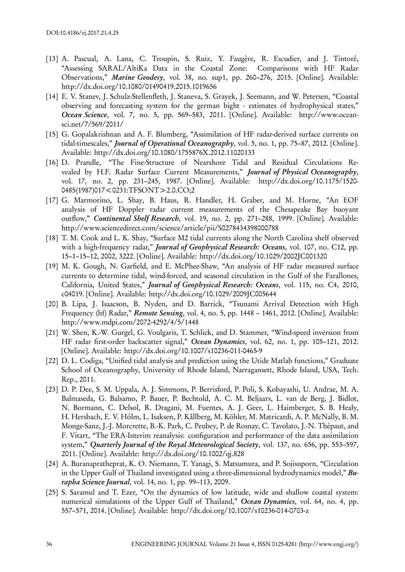- [13] A. Pascual, A. Lana, C. Troupin, S. Ruiz, Y. Faugère, R. Escudier, and J. Tintoré, "Assessing SARAL/AltiKa Data in the Coastal Zone: Comparisons with HF Radar Observations," *Marine Geodesy*, vol. 38, no. sup1, pp. 260–276, 2015. [Online]. Available: http://dx.doi.org/10.1080/01490419.2015.1019656
- [14] E. V. Stanev, J. Schulz-Stellenfleth, J. Staneva, S. Grayek, J. Seemann, and W. Petersen, "Coastal observing and forecasting system for the german bight - estimates of hydrophysical states," *Ocean Science*, vol. 7, no. 5, pp. 569–583, 2011. [Online]. Available: http://www.oceansci.net/7/569/2011/
- [15] G. Gopalakrishnan and A. F. Blumberg, "Assimilation of HF radar-derived surface currents on tidal-timescales," *Journal of Operational Oceanography*, vol. 5, no. 1, pp. 75–87, 2012. [Online]. Available: http://dx.doi.org/10.1080/1755876X.2012.11020133
- [16] D. Prandle, "The Fine-Structure of Nearshore Tidal and Residual Circulations Revealed by H.F. Radar Surface Current Measurements," *Journal of Physical Oceanography*, vol. 17, no. 2, pp. 231–245, 1987. [Online]. Available: http://dx.doi.org/10.1175/1520- 0485(1987)017<0231:TFSONT>2.0.CO;2
- [17] G. Marmorino, L. Shay, B. Haus, R. Handler, H. Graber, and M. Horne, "An EOF analysis of HF Doppler radar current measurements of the Chesapeake Bay buoyant outflow," *Continental Shelf Research*, vol. 19, no. 2, pp. 271–288, 1999. [Online]. Available: http://www.sciencedirect.com/science/article/pii/S0278434398000788
- [18] T. M. Cook and L. K. Shay, "Surface M2 tidal currents along the North Carolina shelf observed with a high-frequency radar," *Journal of Geophysical Research: Oceans*, vol. 107, no. C12, pp. 15–1–15–12, 2002, 3222. [Online]. Available: http://dx.doi.org/10.1029/2002JC001320
- [19] M. K. Gough, N. Garfield, and E. McPhee-Shaw, "An analysis of HF radar measured surface currents to determine tidal, wind-forced, and seasonal circulation in the Gulf of the Farallones, California, United States," *Journal of Geophysical Research: Oceans*, vol. 115, no. C4, 2010, c04019. [Online]. Available: http://dx.doi.org/10.1029/2009JC005644
- [20] B. Lipa, J. Isaacson, B. Nyden, and D. Barrick, "Tsunami Arrival Detection with High Frequency (hf) Radar," *Remote Sensing*, vol. 4, no. 5, pp. 1448 – 1461, 2012. [Online]. Available: http://www.mdpi.com/2072-4292/4/5/1448
- [21] W. Shen, K.-W. Gurgel, G. Voulgaris, T. Schlick, and D. Stammer, "Wind-speed inversion from HF radar first-order backscatter signal," *Ocean Dynamics*, vol. 62, no. 1, pp. 105–121, 2012. [Online]. Available: http://dx.doi.org/10.1007/s10236-011-0465-9
- [22] D. L. Codiga, "Unified tidal analysis and prediction using the Utide Matlab functions," Graduate School of Oceanography, University of Rhode Island, Narragansett, Rhode Island, USA, Tech. Rep., 2011.
- [23] D. P. Dee, S. M. Uppala, A. J. Simmons, P. Berrisford, P. Poli, S. Kobayashi, U. Andrae, M. A. Balmaseda, G. Balsamo, P. Bauer, P. Bechtold, A. C. M. Beljaars, L. van de Berg, J. Bidlot, N. Bormann, C. Delsol, R. Dragani, M. Fuentes, A. J. Geer, L. Haimberger, S. B. Healy, H. Hersbach, E. V. Hólm, L. Isaksen, P. Kållberg, M. Köhler, M. Matricardi, A. P. McNally, B. M. Monge-Sanz, J.-J. Morcrette, B.-K. Park, C. Peubey, P. de Rosnay, C. Tavolato, J.-N. Thépaut, and F. Vitart, "The ERA-Interim reanalysis: configuration and performance of the data assimilation system," *Quarterly Journal of the Royal Meteorological Society*, vol. 137, no. 656, pp. 553–597, 2011. [Online]. Available: http://dx.doi.org/10.1002/qj.828
- [24] A. Buranapratheprat, K. O. Niemann, T. Yanagi, S. Matsumura, and P. Sojisuporn, "Circulation in the Upper Gulf of Thailand investigated using a three-dimensional hydrodynamics model," *Burapha Science Journal*, vol. 14, no. 1, pp. 99–113, 2009.
- [25] S. Saramul and T. Ezer, "On the dynamics of low latitude, wide and shallow coastal system: numerical simulations of the Upper Gulf of Thailand," *Ocean Dynamics*, vol. 64, no. 4, pp. 557–571, 2014. [Online]. Available: http://dx.doi.org/10.1007/s10236-014-0703-z